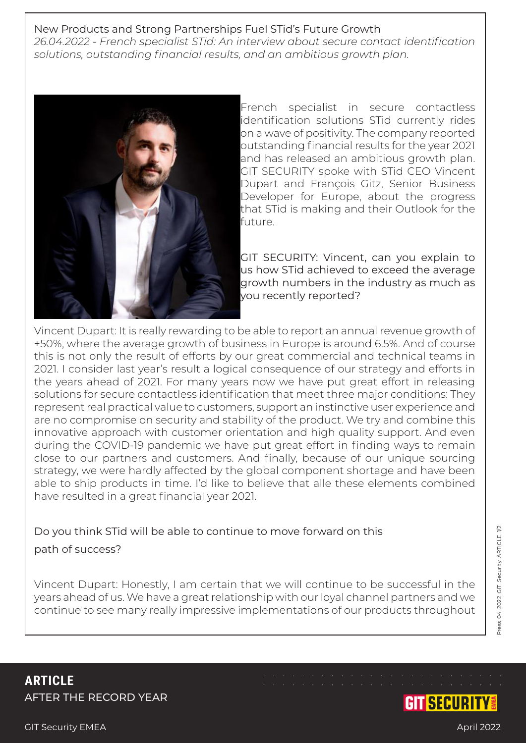## New Products and Strong Partnerships Fuel STid's Future Growth

*26.04.2022 - French specialist STid: An interview about secure contact identification solutions, outstanding financial results, and an ambitious growth plan.*



French specialist in secure contactless identification solutions STid currently rides on a wave of positivity. The company reported outstanding financial results for the year 2021 and has released an ambitious growth plan. GIT SECURITY spoke with STid CEO Vincent Dupart and François Gitz, Senior Business Developer for Europe, about the progress that STid is making and their Outlook for the future.

GIT SECURITY: Vincent, can you explain to us how STid achieved to exceed the average growth numbers in the industry as much as you recently reported?

Vincent Dupart: It is really rewarding to be able to report an annual revenue growth of +50%, where the average growth of business in Europe is around 6.5%. And of course this is not only the result of efforts by our great commercial and technical teams in 2021. I consider last year's result a logical consequence of our strategy and efforts in the years ahead of 2021. For many years now we have put great effort in releasing solutions for secure contactless identification that meet three major conditions: They represent real practical value to customers, support an instinctive user experience and are no compromise on security and stability of the product. We try and combine this innovative approach with customer orientation and high quality support. And even during the COVID-19 pandemic we have put great effort in finding ways to remain close to our partners and customers. And finally, because of our unique sourcing strategy, we were hardly affected by the global component shortage and have been able to ship products in time. I'd like to believe that alle these elements combined have resulted in a great financial year 2021.

## Do you think STid will be able to continue to move forward on this path of success?

Vincent Dupart: Honestly, I am certain that we will continue to be successful in the years ahead of us. We have a great relationship with our loyal channel partners and we continue to see many really impressive implementations of our products throughout

**ARTICLE** AFTER THE RECORD YEAR